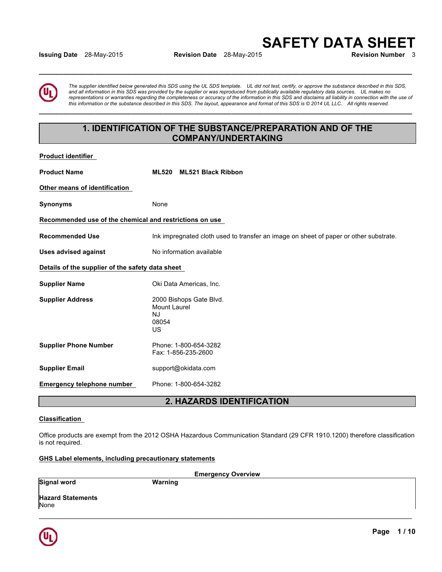**Issuing Date** 28-May-2015 **Revision Date** 28-May-2015

**SAFETY DATA SHEET** 

**Product identifier** 

*The supplier identified below generated this SDS using the UL SDS template. UL did not test, certify, or approve the substance described in this SDS, and all information in this SDS was provided by the supplier or was reproduced from publically available regulatory data sources. UL makes no representations or warranties regarding the completeness or accuracy of the information in this SDS and disclaims all liability in connection with the use of this information or the substance described in this SDS. The layout, appearance and format of this SDS is © 2014 UL LLC. All rights reserved.* 

# **1. IDENTIFICATION OF THE SUBSTANCE/PREPARATION AND OF THE COMPANY/UNDERTAKING**

**\_\_\_\_\_\_\_\_\_\_\_\_\_\_\_\_\_\_\_\_\_\_\_\_\_\_\_\_\_\_\_\_\_\_\_\_\_\_\_\_\_\_\_\_\_\_\_\_\_\_\_\_\_\_\_\_\_\_\_\_\_\_\_\_\_\_\_\_\_\_\_\_\_\_\_\_\_\_\_\_\_\_\_\_\_\_\_\_\_\_\_\_\_** 

**\_\_\_\_\_\_\_\_\_\_\_\_\_\_\_\_\_\_\_\_\_\_\_\_\_\_\_\_\_\_\_\_\_\_\_\_\_\_\_\_\_\_\_\_\_\_\_\_\_\_\_\_\_\_\_\_\_\_\_\_\_\_\_\_\_\_\_\_\_\_\_\_\_\_\_\_\_\_\_\_\_\_\_\_\_\_\_\_\_\_\_\_\_** 

| .                                                       |                                                                                       |
|---------------------------------------------------------|---------------------------------------------------------------------------------------|
| <b>Product Name</b>                                     | ML520 ML521 Black Ribbon                                                              |
| Other means of identification                           |                                                                                       |
| <b>Synonyms</b>                                         | None                                                                                  |
| Recommended use of the chemical and restrictions on use |                                                                                       |
| <b>Recommended Use</b>                                  | Ink impregnated cloth used to transfer an image on sheet of paper or other substrate. |
| <b>Uses advised against</b>                             | No information available                                                              |
| Details of the supplier of the safety data sheet        |                                                                                       |
| <b>Supplier Name</b>                                    | Oki Data Americas, Inc.                                                               |
| <b>Supplier Address</b>                                 | 2000 Bishops Gate Blvd.<br><b>Mount Laurel</b><br><b>NJ</b><br>08054<br>US            |
| <b>Supplier Phone Number</b>                            | Phone: 1-800-654-3282<br>Fax: 1-856-235-2600                                          |
| <b>Supplier Email</b>                                   | support@okidata.com                                                                   |
| <b>Emergency telephone number</b>                       | Phone: 1-800-654-3282                                                                 |

# **2. HAZARDS IDENTIFICATION**

## **Classification**

Office products are exempt from the 2012 OSHA Hazardous Communication Standard (29 CFR 1910.1200) therefore classification is not required.

## **GHS Label elements, including precautionary statements**

| <b>Emergency Overview</b>        |         |  |  |
|----------------------------------|---------|--|--|
| <b>Signal word</b>               | Warning |  |  |
| <b>Hazard Statements</b><br>None |         |  |  |
|                                  |         |  |  |

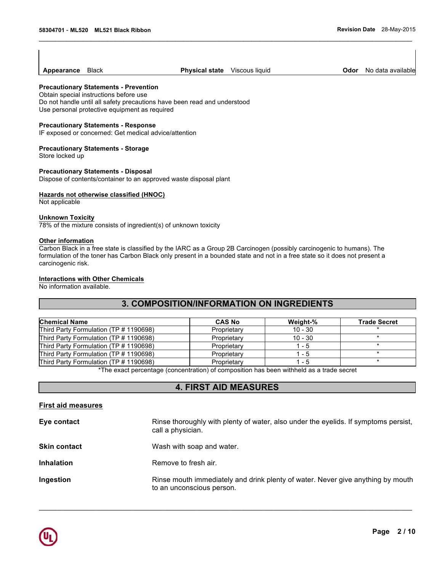**Appearance** Black **Physical state** Viscous liquid **Odor** No data available

 $\mathcal{L}_\mathcal{L} = \{ \mathcal{L}_\mathcal{L} = \{ \mathcal{L}_\mathcal{L} = \{ \mathcal{L}_\mathcal{L} = \{ \mathcal{L}_\mathcal{L} = \{ \mathcal{L}_\mathcal{L} = \{ \mathcal{L}_\mathcal{L} = \{ \mathcal{L}_\mathcal{L} = \{ \mathcal{L}_\mathcal{L} = \{ \mathcal{L}_\mathcal{L} = \{ \mathcal{L}_\mathcal{L} = \{ \mathcal{L}_\mathcal{L} = \{ \mathcal{L}_\mathcal{L} = \{ \mathcal{L}_\mathcal{L} = \{ \mathcal{L}_\mathcal{$ 

## **Precautionary Statements - Prevention**

Obtain special instructions before use Do not handle until all safety precautions have been read and understood Use personal protective equipment as required

#### **Precautionary Statements - Response**

IF exposed or concerned: Get medical advice/attention

#### **Precautionary Statements - Storage**

Store locked up

#### **Precautionary Statements - Disposal**

Dispose of contents/container to an approved waste disposal plant

#### **Hazards not otherwise classified (HNOC)**

Not applicable

#### **Unknown Toxicity**

78% of the mixture consists of ingredient(s) of unknown toxicity

#### **Other information**

Carbon Black in a free state is classified by the IARC as a Group 2B Carcinogen (possibly carcinogenic to humans). The formulation of the toner has Carbon Black only present in a bounded state and not in a free state so it does not present a carcinogenic risk.

## **Interactions with Other Chemicals**

No information available.

## **3. COMPOSITION/INFORMATION ON INGREDIENTS**

| <b>Chemical Name</b>                   | <b>CAS No</b> | Weight-%  | <b>Trade Secret</b> |
|----------------------------------------|---------------|-----------|---------------------|
| Third Party Formulation (TP # 1190698) | Proprietary   | $10 - 30$ |                     |
| Third Party Formulation (TP # 1190698) | Proprietary   | $10 - 30$ |                     |
| Third Party Formulation (TP # 1190698) | Proprietary   | $1 - 5$   |                     |
| Third Party Formulation (TP # 1190698) | Proprietary   | $1 - 5$   |                     |
| Third Party Formulation (TP # 1190698) | Proprietary   | 1 - 5     |                     |

\*The exact percentage (concentration) of composition has been withheld as a trade secret

## **4. FIRST AID MEASURES**

| Rinse thoroughly with plenty of water, also under the eyelids. If symptoms persist,<br>call a physician.     |
|--------------------------------------------------------------------------------------------------------------|
| Wash with soap and water.                                                                                    |
| Remove to fresh air.                                                                                         |
| Rinse mouth immediately and drink plenty of water. Never give anything by mouth<br>to an unconscious person. |
|                                                                                                              |

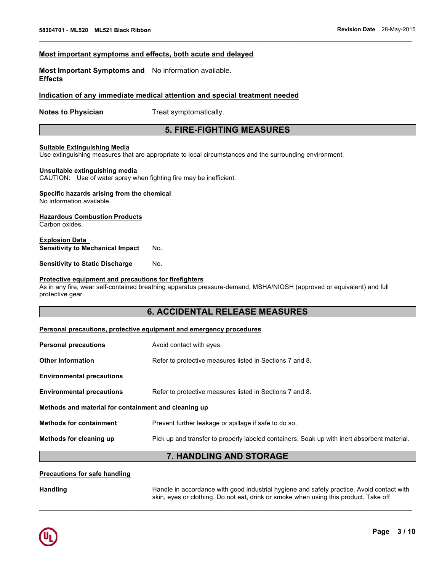## **Most important symptoms and effects, both acute and delayed**

**Most Important Symptoms and**  No information available. **Effects** 

## **Indication of any immediate medical attention and special treatment needed**

**Notes to Physician**  Treat symptomatically.

## **5. FIRE-FIGHTING MEASURES**

 $\mathcal{L}_\mathcal{L} = \{ \mathcal{L}_\mathcal{L} = \{ \mathcal{L}_\mathcal{L} = \{ \mathcal{L}_\mathcal{L} = \{ \mathcal{L}_\mathcal{L} = \{ \mathcal{L}_\mathcal{L} = \{ \mathcal{L}_\mathcal{L} = \{ \mathcal{L}_\mathcal{L} = \{ \mathcal{L}_\mathcal{L} = \{ \mathcal{L}_\mathcal{L} = \{ \mathcal{L}_\mathcal{L} = \{ \mathcal{L}_\mathcal{L} = \{ \mathcal{L}_\mathcal{L} = \{ \mathcal{L}_\mathcal{L} = \{ \mathcal{L}_\mathcal{$ 

## **Suitable Extinguishing Media**

Use extinguishing measures that are appropriate to local circumstances and the surrounding environment.

#### **Unsuitable extinguishing media**

CAUTION: Use of water spray when fighting fire may be inefficient.

## **Specific hazards arising from the chemical**

No information available.

#### **Hazardous Combustion Products** Carbon oxides.

**Explosion Data Sensitivity to Mechanical Impact No.** 

**Sensitivity to Static Discharge Mo.** 

## **Protective equipment and precautions for firefighters**

As in any fire, wear self-contained breathing apparatus pressure-demand, MSHA/NIOSH (approved or equivalent) and full protective gear.

# **6. ACCIDENTAL RELEASE MEASURES**

#### **Personal precautions, protective equipment and emergency procedures**

| <b>Personal precautions</b>                          | Avoid contact with eyes.                                                                    |  |
|------------------------------------------------------|---------------------------------------------------------------------------------------------|--|
| <b>Other Information</b>                             | Refer to protective measures listed in Sections 7 and 8.                                    |  |
| <b>Environmental precautions</b>                     |                                                                                             |  |
| <b>Environmental precautions</b>                     | Refer to protective measures listed in Sections 7 and 8.                                    |  |
| Methods and material for containment and cleaning up |                                                                                             |  |
| <b>Methods for containment</b>                       | Prevent further leakage or spillage if safe to do so.                                       |  |
| Methods for cleaning up                              | Pick up and transfer to properly labeled containers. Soak up with inert absorbent material. |  |
|                                                      |                                                                                             |  |

## **7. HANDLING AND STORAGE**

 $\mathcal{L}_\mathcal{L} = \mathcal{L}_\mathcal{L} = \mathcal{L}_\mathcal{L} = \mathcal{L}_\mathcal{L} = \mathcal{L}_\mathcal{L} = \mathcal{L}_\mathcal{L} = \mathcal{L}_\mathcal{L} = \mathcal{L}_\mathcal{L} = \mathcal{L}_\mathcal{L} = \mathcal{L}_\mathcal{L} = \mathcal{L}_\mathcal{L} = \mathcal{L}_\mathcal{L} = \mathcal{L}_\mathcal{L} = \mathcal{L}_\mathcal{L} = \mathcal{L}_\mathcal{L} = \mathcal{L}_\mathcal{L} = \mathcal{L}_\mathcal{L}$ 

#### **Precautions for safe handling**

Handling **Handle in accordance with good industrial hygiene and safety practice. Avoid contact with** skin, eyes or clothing. Do not eat, drink or smoke when using this product. Take off

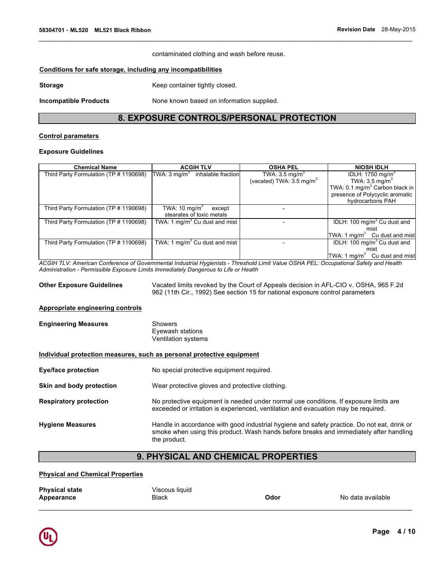contaminated clothing and wash before reuse.

 $\mathcal{L}_\mathcal{L} = \{ \mathcal{L}_\mathcal{L} = \{ \mathcal{L}_\mathcal{L} = \{ \mathcal{L}_\mathcal{L} = \{ \mathcal{L}_\mathcal{L} = \{ \mathcal{L}_\mathcal{L} = \{ \mathcal{L}_\mathcal{L} = \{ \mathcal{L}_\mathcal{L} = \{ \mathcal{L}_\mathcal{L} = \{ \mathcal{L}_\mathcal{L} = \{ \mathcal{L}_\mathcal{L} = \{ \mathcal{L}_\mathcal{L} = \{ \mathcal{L}_\mathcal{L} = \{ \mathcal{L}_\mathcal{L} = \{ \mathcal{L}_\mathcal{$ 

#### **Conditions for safe storage, including any incompatibilities**

**Storage Example 20 Storage Research 20 Storage Research 20 Storage Research 20 Storage 20 Storage 20 Storage 20 Storage 20 Storage 20 Storage 20 Storage 20 Storage 20 Storage 20 Storage 20 Storage 20 Storage 20 St** 

**Incompatible Products None known based on information supplied.** 

## **8. EXPOSURE CONTROLS/PERSONAL PROTECTION**

## **Control parameters**

#### **Exposure Guidelines**

| <b>Chemical Name</b>                   | <b>ACGIH TLV</b>                           | <b>OSHA PEL</b>                     | <b>NIOSH IDLH</b>                          |
|----------------------------------------|--------------------------------------------|-------------------------------------|--------------------------------------------|
| Third Party Formulation (TP # 1190698) | TWA: $3 \text{ mg/m}^3$ inhalable fraction | TWA: $3.5 \text{ mg/m}^3$           | IDLH: 1750 mg/m <sup>3</sup>               |
|                                        |                                            | (vacated) TWA: $3.5 \text{ mg/m}^3$ | TWA: $3.5 \text{ mg/m}^3$                  |
|                                        |                                            |                                     | TWA: 0.1 mg/m <sup>3</sup> Carbon black in |
|                                        |                                            |                                     | presence of Polycyclic aromatic            |
|                                        |                                            |                                     | hydrocarbons PAH                           |
| Third Party Formulation (TP # 1190698) | TWA: 10 mg/m $^3$<br>except                |                                     |                                            |
|                                        | stearates of toxic metals                  |                                     |                                            |
| Third Party Formulation (TP # 1190698) | TWA: 1 mg/m <sup>3</sup> Cu dust and mist  |                                     | IDLH: 100 mg/m <sup>3</sup> Cu dust and    |
|                                        |                                            |                                     | mist                                       |
|                                        |                                            |                                     | TWA: 1 $mg/m3$ Cu dust and mist            |
| Third Party Formulation (TP # 1190698) | TWA: 1 mg/m <sup>3</sup> Cu dust and mist  |                                     | IDLH: 100 mg/m <sup>3</sup> Cu dust and    |
|                                        |                                            |                                     | mist                                       |
|                                        |                                            |                                     | TWA: 1 mg/m $3$<br>Cu dust and mist        |

*ACGIH TLV: American Conference of Governmental Industrial Hygienists - Threshold Limit Value OSHA PEL: Occupational Safety and Health Administration - Permissible Exposure Limits Immediately Dangerous to Life or Health* 

**Other Exposure Guidelines** Vacated limits revoked by the Court of Appeals decision in AFL-CIO v. OSHA, 965 F.2d 962 (11th Cir., 1992) See section 15 for national exposure control parameters

#### **Appropriate engineering controls**

| <b>Engineering Measures</b> | Showers             |
|-----------------------------|---------------------|
|                             | Eyewash stations    |
|                             | Ventilation systems |

## **Individual protection measures, such as personal protective equipment**

**Eye/face protection** No special protective equipment required.

**Skin and body protection** Wear protective gloves and protective clothing.

**Respiratory protection** No protective equipment is needed under normal use conditions. If exposure limits are exceeded or irritation is experienced, ventilation and evacuation may be required.

**Hygiene Measures** Handle in accordance with good industrial hygiene and safety practice. Do not eat, drink or smoke when using this product. Wash hands before breaks and immediately after handling the product.

# **9. PHYSICAL AND CHEMICAL PROPERTIES**

#### **Physical and Chemical Properties**

| <b>Physical state</b> | Viscous liquid |      |                   |
|-----------------------|----------------|------|-------------------|
| Appearance            | <b>Black</b>   | Odor | No data available |
|                       |                |      |                   |

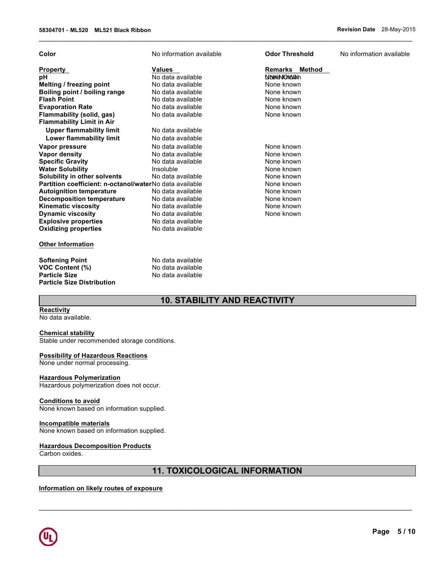| Color                                                   | No information available | <b>Odor Threshold</b> | No information available |
|---------------------------------------------------------|--------------------------|-----------------------|--------------------------|
| Property                                                | <b>Values</b>            | Remarks Method        |                          |
| рH                                                      | No data available        | NNHKANOMAAN           |                          |
| Melting / freezing point                                | No data available        | None known            |                          |
| Boiling point / boiling range                           | No data available        | None known            |                          |
| <b>Flash Point</b>                                      | No data available        | None known            |                          |
| <b>Evaporation Rate</b>                                 | No data available        | None known            |                          |
| Flammability (solid, gas)                               | No data available        | None known            |                          |
| <b>Flammability Limit in Air</b>                        |                          |                       |                          |
| <b>Upper flammability limit</b>                         | No data available        |                       |                          |
| <b>Lower flammability limit</b>                         | No data available        |                       |                          |
| Vapor pressure                                          | No data available        | None known            |                          |
| Vapor density                                           | No data available        | None known            |                          |
| <b>Specific Gravity</b>                                 | No data available        | None known            |                          |
| <b>Water Solubility</b>                                 | Insoluble                | None known            |                          |
| Solubility in other solvents                            | No data available        | None known            |                          |
| Partition coefficient: n-octanol/waterNo data available |                          | None known            |                          |
| <b>Autoignition temperature</b>                         | No data available        | None known            |                          |
| <b>Decomposition temperature</b>                        | No data available        | None known            |                          |
| <b>Kinematic viscosity</b>                              | No data available        | None known            |                          |
| <b>Dynamic viscosity</b>                                | No data available        | None known            |                          |
| <b>Explosive properties</b>                             | No data available        |                       |                          |
| <b>Oxidizing properties</b>                             | No data available        |                       |                          |
| <b>Other Information</b>                                |                          |                       |                          |
| <b>Softening Point</b>                                  | No data available        |                       |                          |
| <b>VOC Content (%)</b>                                  | No data available        |                       |                          |
| <b>Particle Size</b>                                    | No data available        |                       |                          |
| <b>Particle Size Distribution</b>                       |                          |                       |                          |

 $\mathcal{L}_\mathcal{L} = \{ \mathcal{L}_\mathcal{L} = \{ \mathcal{L}_\mathcal{L} = \{ \mathcal{L}_\mathcal{L} = \{ \mathcal{L}_\mathcal{L} = \{ \mathcal{L}_\mathcal{L} = \{ \mathcal{L}_\mathcal{L} = \{ \mathcal{L}_\mathcal{L} = \{ \mathcal{L}_\mathcal{L} = \{ \mathcal{L}_\mathcal{L} = \{ \mathcal{L}_\mathcal{L} = \{ \mathcal{L}_\mathcal{L} = \{ \mathcal{L}_\mathcal{L} = \{ \mathcal{L}_\mathcal{L} = \{ \mathcal{L}_\mathcal{$ 

# **10. STABILITY AND REACTIVITY**

**Reactivity** No data available.

### **Chemical stability**

Stable under recommended storage conditions.

## **Possibility of Hazardous Reactions**

None under normal processing.

### **Hazardous Polymerization**

Hazardous polymerization does not occur.

## **Conditions to avoid**

None known based on information supplied.

## **Incompatible materials**

None known based on information supplied.

## **Hazardous Decomposition Products**

Carbon oxides.

# **11. TOXICOLOGICAL INFORMATION**

 $\mathcal{L}_\mathcal{L} = \mathcal{L}_\mathcal{L} = \mathcal{L}_\mathcal{L} = \mathcal{L}_\mathcal{L} = \mathcal{L}_\mathcal{L} = \mathcal{L}_\mathcal{L} = \mathcal{L}_\mathcal{L} = \mathcal{L}_\mathcal{L} = \mathcal{L}_\mathcal{L} = \mathcal{L}_\mathcal{L} = \mathcal{L}_\mathcal{L} = \mathcal{L}_\mathcal{L} = \mathcal{L}_\mathcal{L} = \mathcal{L}_\mathcal{L} = \mathcal{L}_\mathcal{L} = \mathcal{L}_\mathcal{L} = \mathcal{L}_\mathcal{L}$ 

## **Information on likely routes of exposure**

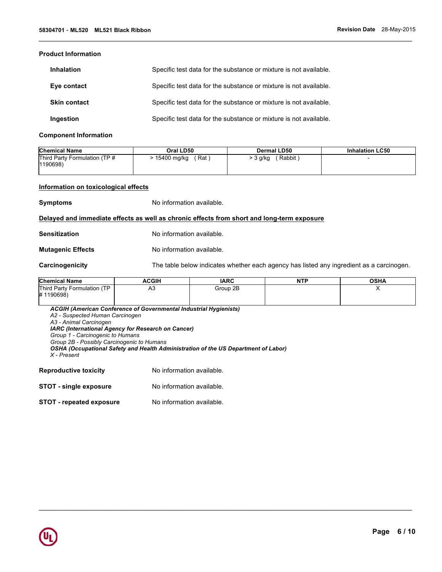## **Product Information**

| <b>Inhalation</b>   | Specific test data for the substance or mixture is not available. |
|---------------------|-------------------------------------------------------------------|
| Eye contact         | Specific test data for the substance or mixture is not available. |
| <b>Skin contact</b> | Specific test data for the substance or mixture is not available. |
| Ingestion           | Specific test data for the substance or mixture is not available. |

#### **Component Information**

| <b>Chemical Name</b>          | Oral LD50   | <b>Dermal LD50</b> | <b>Inhalation LC50</b> |
|-------------------------------|-------------|--------------------|------------------------|
| Third Party Formulation (TP # | ∶Rat i      | Rabbit             |                        |
| 1190698)                      | 15400 mg/kg | > 3 g/kg           |                        |

 $\mathcal{L}_\mathcal{L} = \{ \mathcal{L}_\mathcal{L} = \{ \mathcal{L}_\mathcal{L} = \{ \mathcal{L}_\mathcal{L} = \{ \mathcal{L}_\mathcal{L} = \{ \mathcal{L}_\mathcal{L} = \{ \mathcal{L}_\mathcal{L} = \{ \mathcal{L}_\mathcal{L} = \{ \mathcal{L}_\mathcal{L} = \{ \mathcal{L}_\mathcal{L} = \{ \mathcal{L}_\mathcal{L} = \{ \mathcal{L}_\mathcal{L} = \{ \mathcal{L}_\mathcal{L} = \{ \mathcal{L}_\mathcal{L} = \{ \mathcal{L}_\mathcal{$ 

## **Information on toxicological effects**

**Symptoms** No information available.

## **Delayed and immediate effects as well as chronic effects from short and long-term exposure**

| <b>Sensitization</b> | No information available. |
|----------------------|---------------------------|
|                      |                           |

**Mutagenic Effects** No information available.

**Carcinogenicity** The table below indicates whether each agency has listed any ingredient as a carcinogen.

| <b>Chemical Name</b>                     | ACGIH                  | <b>IARC</b> | <b>NTP</b> | <b>OSHA</b> |
|------------------------------------------|------------------------|-------------|------------|-------------|
| Third Party Formulation (TP<br>#1190698) | $\Lambda$ $\sim$<br>৸∪ | Group 2B    |            |             |

 $\mathcal{L}_\mathcal{L} = \mathcal{L}_\mathcal{L} = \mathcal{L}_\mathcal{L} = \mathcal{L}_\mathcal{L} = \mathcal{L}_\mathcal{L} = \mathcal{L}_\mathcal{L} = \mathcal{L}_\mathcal{L} = \mathcal{L}_\mathcal{L} = \mathcal{L}_\mathcal{L} = \mathcal{L}_\mathcal{L} = \mathcal{L}_\mathcal{L} = \mathcal{L}_\mathcal{L} = \mathcal{L}_\mathcal{L} = \mathcal{L}_\mathcal{L} = \mathcal{L}_\mathcal{L} = \mathcal{L}_\mathcal{L} = \mathcal{L}_\mathcal{L}$ 

*ACGIH (American Conference of Governmental Industrial Hygienists) A2 - Suspected Human Carcinogen A3 - Animal Carcinogen IARC (International Agency for Research on Cancer) Group 1 - Carcinogenic to Humans Group 2B - Possibly Carcinogenic to Humans OSHA (Occupational Safety and Health Administration of the US Department of Labor) X - Present*  **Reproductive toxicity No information available.** 

| <b>STOT - single exposure</b> | No information available. |
|-------------------------------|---------------------------|
|-------------------------------|---------------------------|

**STOT - repeated exposure** No information available.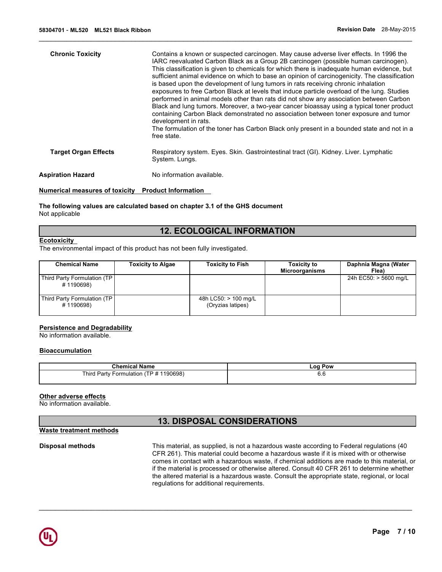| <b>Chronic Toxicity</b>     | Contains a known or suspected carcinogen. May cause adverse liver effects. In 1996 the<br>IARC reevaluated Carbon Black as a Group 2B carcinogen (possible human carcinogen).<br>This classification is given to chemicals for which there is inadequate human evidence, but<br>sufficient animal evidence on which to base an opinion of carcinogenicity. The classification<br>is based upon the development of lung tumors in rats receiving chronic inhalation<br>exposures to free Carbon Black at levels that induce particle overload of the lung. Studies<br>performed in animal models other than rats did not show any association between Carbon<br>Black and lung tumors. Moreover, a two-year cancer bioassay using a typical toner product<br>containing Carbon Black demonstrated no association between toner exposure and tumor<br>development in rats.<br>The formulation of the toner has Carbon Black only present in a bounded state and not in a<br>free state. |
|-----------------------------|---------------------------------------------------------------------------------------------------------------------------------------------------------------------------------------------------------------------------------------------------------------------------------------------------------------------------------------------------------------------------------------------------------------------------------------------------------------------------------------------------------------------------------------------------------------------------------------------------------------------------------------------------------------------------------------------------------------------------------------------------------------------------------------------------------------------------------------------------------------------------------------------------------------------------------------------------------------------------------------|
| <b>Target Organ Effects</b> | Respiratory system. Eyes. Skin. Gastrointestinal tract (GI). Kidney. Liver. Lymphatic<br>System. Lungs.                                                                                                                                                                                                                                                                                                                                                                                                                                                                                                                                                                                                                                                                                                                                                                                                                                                                               |
| <b>Aspiration Hazard</b>    | No information available.                                                                                                                                                                                                                                                                                                                                                                                                                                                                                                                                                                                                                                                                                                                                                                                                                                                                                                                                                             |
|                             |                                                                                                                                                                                                                                                                                                                                                                                                                                                                                                                                                                                                                                                                                                                                                                                                                                                                                                                                                                                       |

 $\mathcal{L}_\mathcal{L} = \{ \mathcal{L}_\mathcal{L} = \{ \mathcal{L}_\mathcal{L} = \{ \mathcal{L}_\mathcal{L} = \{ \mathcal{L}_\mathcal{L} = \{ \mathcal{L}_\mathcal{L} = \{ \mathcal{L}_\mathcal{L} = \{ \mathcal{L}_\mathcal{L} = \{ \mathcal{L}_\mathcal{L} = \{ \mathcal{L}_\mathcal{L} = \{ \mathcal{L}_\mathcal{L} = \{ \mathcal{L}_\mathcal{L} = \{ \mathcal{L}_\mathcal{L} = \{ \mathcal{L}_\mathcal{L} = \{ \mathcal{L}_\mathcal{$ 

#### **Numerical measures of toxicity Product Information**

## **The following values are calculated based on chapter 3.1 of the GHS document** Not applicable

## **12. ECOLOGICAL INFORMATION**

#### **Ecotoxicity**

The environmental impact of this product has not been fully investigated.

| <b>Chemical Name</b>                       | <b>Toxicity to Algae</b> | <b>Toxicity to Fish</b>                   | <b>Toxicity to</b><br><b>Microorganisms</b> | Daphnia Magna (Water<br>Flea) |
|--------------------------------------------|--------------------------|-------------------------------------------|---------------------------------------------|-------------------------------|
| Third Party Formulation (TP)<br># 1190698) |                          |                                           |                                             | 24h EC50: > 5600 mg/L         |
| Third Party Formulation (TP)<br>#1190698)  |                          | 48h LC50: > 100 mg/L<br>(Oryzias latipes) |                                             |                               |

#### **Persistence and Degradability**

No information available.

### **Bioaccumulation**

| <b>Chemical Name</b>                                      | Pow<br>∟oa∴ |
|-----------------------------------------------------------|-------------|
| 190698)<br>Third.<br>$\cdot$ Formulation (TP # .<br>Party | o.o         |

## **Other adverse effects**

No information available.

**Waste treatment methods**

# **13. DISPOSAL CONSIDERATIONS**

**Disposal methods** This material, as supplied, is not a hazardous waste according to Federal regulations (40 CFR 261). This material could become a hazardous waste if it is mixed with or otherwise comes in contact with a hazardous waste, if chemical additions are made to this material, or if the material is processed or otherwise altered. Consult 40 CFR 261 to determine whether the altered material is a hazardous waste. Consult the appropriate state, regional, or local regulations for additional requirements.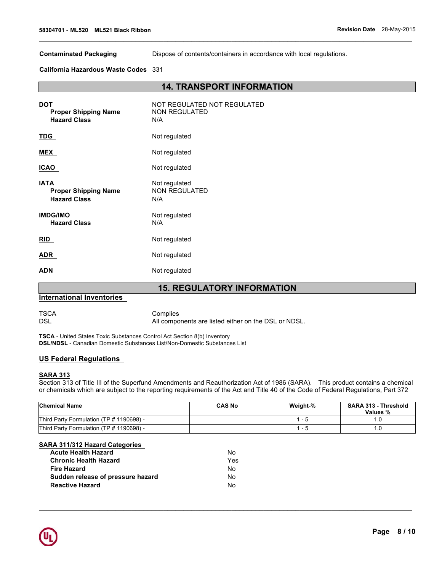**Contaminated Packaging** Dispose of contents/containers in accordance with local regulations.

**California Hazardous Waste Codes** 331

## **14. TRANSPORT INFORMATION**

 $\mathcal{L}_\mathcal{L} = \{ \mathcal{L}_\mathcal{L} = \{ \mathcal{L}_\mathcal{L} = \{ \mathcal{L}_\mathcal{L} = \{ \mathcal{L}_\mathcal{L} = \{ \mathcal{L}_\mathcal{L} = \{ \mathcal{L}_\mathcal{L} = \{ \mathcal{L}_\mathcal{L} = \{ \mathcal{L}_\mathcal{L} = \{ \mathcal{L}_\mathcal{L} = \{ \mathcal{L}_\mathcal{L} = \{ \mathcal{L}_\mathcal{L} = \{ \mathcal{L}_\mathcal{L} = \{ \mathcal{L}_\mathcal{L} = \{ \mathcal{L}_\mathcal{$ 

| <b>DOT</b><br><b>Proper Shipping Name</b><br><b>Hazard Class</b>  | NOT REGULATED NOT REGULATED<br><b>NON REGULATED</b><br>N/A |
|-------------------------------------------------------------------|------------------------------------------------------------|
| <b>TDG</b>                                                        | Not regulated                                              |
| MEX                                                               | Not regulated                                              |
| <b>ICAO</b>                                                       | Not regulated                                              |
| <b>IATA</b><br><b>Proper Shipping Name</b><br><b>Hazard Class</b> | Not regulated<br><b>NON REGULATED</b><br>N/A               |
| <b>IMDG/IMO</b><br><b>Hazard Class</b>                            | Not regulated<br>N/A                                       |
| RID                                                               | Not regulated                                              |
| <b>ADR</b>                                                        | Not regulated                                              |
| <b>ADN</b>                                                        | Not regulated                                              |

# **15. REGULATORY INFORMATION**

## **International Inventories**

TSCA<br>DSL Complies<br>DSL All compo All components are listed either on the DSL or NDSL.

**TSCA** - United States Toxic Substances Control Act Section 8(b) Inventory **DSL/NDSL** - Canadian Domestic Substances List/Non-Domestic Substances List

## **US Federal Regulations**

#### **SARA 313**

Section 313 of Title III of the Superfund Amendments and Reauthorization Act of 1986 (SARA). This product contains a chemical or chemicals which are subject to the reporting requirements of the Act and Title 40 of the Code of Federal Regulations, Part 372

| <b>Chemical Name</b>                     | <b>CAS No</b> | Weight-% | <b>SARA 313 - Threshold</b><br>Values % |
|------------------------------------------|---------------|----------|-----------------------------------------|
| Third Party Formulation (TP # 1190698) - |               | .        |                                         |
| Third Party Formulation (TP # 1190698) - |               | - 5      | ۱.U                                     |

 $\mathcal{L}_\mathcal{L} = \mathcal{L}_\mathcal{L} = \mathcal{L}_\mathcal{L} = \mathcal{L}_\mathcal{L} = \mathcal{L}_\mathcal{L} = \mathcal{L}_\mathcal{L} = \mathcal{L}_\mathcal{L} = \mathcal{L}_\mathcal{L} = \mathcal{L}_\mathcal{L} = \mathcal{L}_\mathcal{L} = \mathcal{L}_\mathcal{L} = \mathcal{L}_\mathcal{L} = \mathcal{L}_\mathcal{L} = \mathcal{L}_\mathcal{L} = \mathcal{L}_\mathcal{L} = \mathcal{L}_\mathcal{L} = \mathcal{L}_\mathcal{L}$ 

## **SARA 311/312 Hazard Categories**

| <b>Acute Health Hazard</b>        | N٥   |
|-----------------------------------|------|
| <b>Chronic Health Hazard</b>      | Yes. |
| <b>Fire Hazard</b>                | N٥   |
| Sudden release of pressure hazard | N٥   |
| <b>Reactive Hazard</b>            | N٥   |

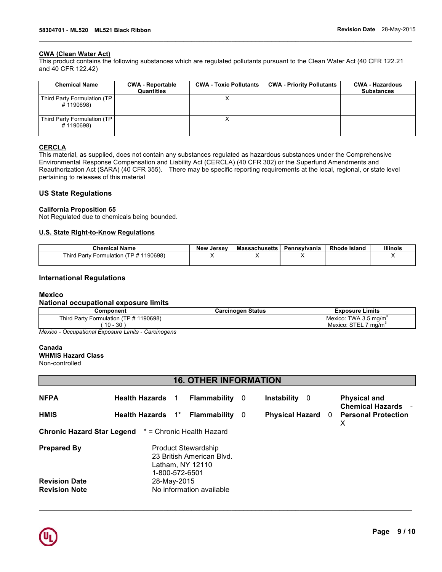## **CWA (Clean Water Act)**

This product contains the following substances which are regulated pollutants pursuant to the Clean Water Act (40 CFR 122.21 and 40 CFR 122.42)

 $\mathcal{L}_\mathcal{L} = \{ \mathcal{L}_\mathcal{L} = \{ \mathcal{L}_\mathcal{L} = \{ \mathcal{L}_\mathcal{L} = \{ \mathcal{L}_\mathcal{L} = \{ \mathcal{L}_\mathcal{L} = \{ \mathcal{L}_\mathcal{L} = \{ \mathcal{L}_\mathcal{L} = \{ \mathcal{L}_\mathcal{L} = \{ \mathcal{L}_\mathcal{L} = \{ \mathcal{L}_\mathcal{L} = \{ \mathcal{L}_\mathcal{L} = \{ \mathcal{L}_\mathcal{L} = \{ \mathcal{L}_\mathcal{L} = \{ \mathcal{L}_\mathcal{$ 

| <b>Chemical Name</b>                     | <b>CWA - Reportable</b><br>Quantities | <b>CWA - Toxic Pollutants</b> | <b>CWA - Priority Pollutants</b> | <b>CWA - Hazardous</b><br><b>Substances</b> |
|------------------------------------------|---------------------------------------|-------------------------------|----------------------------------|---------------------------------------------|
| Third Party Formulation (TP<br>#1190698) |                                       |                               |                                  |                                             |
| Third Party Formulation (TP<br>#1190698) |                                       |                               |                                  |                                             |

## **CERCLA**

This material, as supplied, does not contain any substances regulated as hazardous substances under the Comprehensive Environmental Response Compensation and Liability Act (CERCLA) (40 CFR 302) or the Superfund Amendments and Reauthorization Act (SARA) (40 CFR 355). There may be specific reporting requirements at the local, regional, or state level pertaining to releases of this material

## **US State Regulations**

## **California Proposition 65**

Not Regulated due to chemicals being bounded.

## **U.S. State Right-to-Know Regulations**

| <b>Chemical Name</b>                          | New Jersev | <b>Massachusetts</b> | Pennsvlvania | <b>Rhode Island</b> | <b>Illinois</b> |
|-----------------------------------------------|------------|----------------------|--------------|---------------------|-----------------|
| (TP # 1190698)<br>Third Party Formulation (1) |            |                      | ,,           |                     | ,,              |
|                                               |            |                      |              |                     |                 |

## **International Regulations**

## **Mexico**

## **National occupational exposure limits**

| Component                                               | <b>Carcinogen Status</b> | Exposure Limits                      |
|---------------------------------------------------------|--------------------------|--------------------------------------|
| $\sqrt{2}$ Formulation (TP # 1190698)<br>Third<br>Party |                          | TWA 3.5 mg/m <sup>3</sup><br>Mexico: |
| -30<br>10<br><b>IU -</b>                                |                          | Mexico:<br>ma/m                      |

*Mexico - Occupational Exposure Limits - Carcinogens* 

#### **Canada**

**WHMIS Hazard Class**

# Non-controlled

## **16. OTHER INFORMATION**

| <b>NFPA</b>                                  | <b>Health Hazards</b><br><b>Flammability</b><br>$\mathbf 1$                                   | - 0 | Instability 0          | <b>Physical and</b><br><b>Chemical Hazards -</b> |
|----------------------------------------------|-----------------------------------------------------------------------------------------------|-----|------------------------|--------------------------------------------------|
| <b>HMIS</b>                                  | $1^*$<br><b>Health Hazards</b><br>Flammability                                                | - 0 | <b>Physical Hazard</b> | 0 Personal Protection<br>X                       |
|                                              | <b>Chronic Hazard Star Legend</b> * = Chronic Health Hazard                                   |     |                        |                                                  |
| <b>Prepared By</b>                           | <b>Product Stewardship</b><br>23 British American Blvd.<br>Latham, NY 12110<br>1-800-572-6501 |     |                        |                                                  |
| <b>Revision Date</b><br><b>Revision Note</b> | 28-May-2015<br>No information available                                                       |     |                        |                                                  |